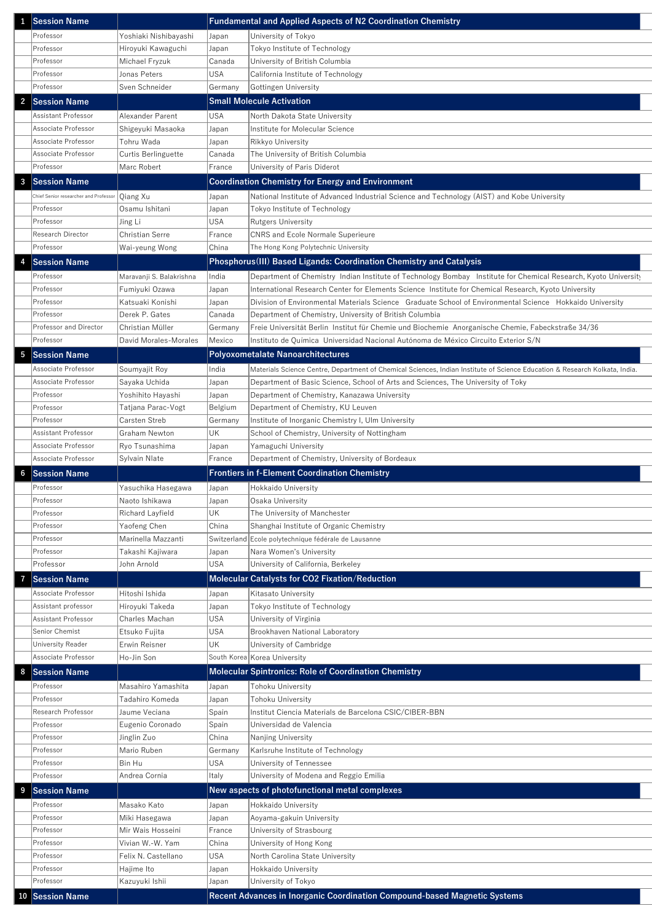| $\mathbf{1}$    | <b>Session Name</b>                   |                          |            | <b>Fundamental and Applied Aspects of N2 Coordination Chemistry</b>                                                         |
|-----------------|---------------------------------------|--------------------------|------------|-----------------------------------------------------------------------------------------------------------------------------|
|                 | Professor                             | Yoshiaki Nishibayashi    | Japan      | University of Tokyo                                                                                                         |
|                 | Professor                             | Hiroyuki Kawaguchi       | Japan      | Tokyo Institute of Technology                                                                                               |
|                 | Professor                             | Michael Fryzuk           | Canada     | University of British Columbia                                                                                              |
|                 | Professor                             | Jonas Peters             | <b>USA</b> | California Institute of Technology                                                                                          |
|                 | Professor                             | Sven Schneider           | Germany    | Gottingen University                                                                                                        |
| $\overline{2}$  | <b>Session Name</b>                   |                          |            | <b>Small Molecule Activation</b>                                                                                            |
|                 | <b>Assistant Professor</b>            | Alexander Parent         | <b>USA</b> | North Dakota State University                                                                                               |
|                 | Associate Professor                   | Shigeyuki Masaoka        | Japan      | Institute for Molecular Science                                                                                             |
|                 | Associate Professor                   | Tohru Wada               | Japan      | Rikkyo University                                                                                                           |
|                 | Associate Professor                   | Curtis Berlinguette      | Canada     | The University of British Columbia                                                                                          |
|                 | Professor                             | Marc Robert              | France     | University of Paris Diderot                                                                                                 |
| $\mathbf{3}$    | <b>Session Name</b>                   |                          |            | <b>Coordination Chemistry for Energy and Environment</b>                                                                    |
|                 | Chief Senior researcher and Professor | Qiang Xu                 | Japan      | National Institute of Advanced Industrial Science and Technology (AIST) and Kobe University                                 |
|                 | Professor                             | Osamu Ishitani           | Japan      | Tokyo Institute of Technology                                                                                               |
|                 | Professor                             | Jing Li                  | <b>USA</b> | <b>Rutgers University</b>                                                                                                   |
|                 | Research Director                     | <b>Christian Serre</b>   | France     | <b>CNRS and Ecole Normale Superieure</b>                                                                                    |
|                 | Professor                             | Wai-yeung Wong           | China      | The Hong Kong Polytechnic University                                                                                        |
| 4               | <b>Session Name</b>                   |                          |            | <b>Phosphorus (III) Based Ligands: Coordination Chemistry and Catalysis</b>                                                 |
|                 | Professor                             | Maravanji S. Balakrishna | India      | Department of Chemistry Indian Institute of Technology Bombay Institute for Chemical Research, Kyoto University             |
|                 | Professor                             | Fumiyuki Ozawa           | Japan      | International Research Center for Elements Science Institute for Chemical Research, Kyoto University                        |
|                 | Professor                             | Katsuaki Konishi         | Japan      | Division of Environmental Materials Science Graduate School of Environmental Science Hokkaido University                    |
|                 | Professor                             | Derek P. Gates           | Canada     | Department of Chemistry, University of British Columbia                                                                     |
|                 | <b>Professor and Director</b>         | Christian Müller         | Germany    | Freie Universität Berlin Institut für Chemie und Biochemie Anorganische Chemie, Fabeckstraße 34/36                          |
|                 | Professor                             | David Morales-Morales    | Mexico     | Instituto de Química Universidad Nacional Autónoma de México Circuito Exterior S/N                                          |
| $5\phantom{.0}$ | <b>Session Name</b>                   |                          |            | <b>Polyoxometalate Nanoarchitectures</b>                                                                                    |
|                 | Associate Professor                   | Soumyajit Roy            | India      | Materials Science Centre, Department of Chemical Sciences, Indian Institute of Science Education & Research Kolkata, India. |
|                 | Associate Professor                   | Sayaka Uchida            | Japan      | Department of Basic Science, School of Arts and Sciences, The University of Toky                                            |
|                 | Professor                             | Yoshihito Hayashi        | Japan      | Department of Chemistry, Kanazawa University                                                                                |
|                 | Professor                             | Tatjana Parac-Vogt       | Belgium    | Department of Chemistry, KU Leuven                                                                                          |
|                 | Professor                             | Carsten Streb            | Germany    | Institute of Inorganic Chemistry I, Ulm University                                                                          |
|                 | <b>Assistant Professor</b>            | <b>Graham Newton</b>     | UK         | School of Chemistry, University of Nottingham                                                                               |
|                 | Associate Professor                   | Ryo Tsunashima           | Japan      | Yamaguchi University                                                                                                        |
|                 | Associate Professor                   | Sylvain Nlate            | France     | Department of Chemistry, University of Bordeaux                                                                             |
| $6\phantom{.}6$ | <b>Session Name</b>                   |                          |            | <b>Frontiers in f-Element Coordination Chemistry</b>                                                                        |
|                 | Professor                             | Yasuchika Hasegawa       | Japan      | Hokkaido University                                                                                                         |
|                 | Professor                             | Naoto Ishikawa           | Japan      | Osaka University                                                                                                            |
|                 | Professor                             | Richard Layfield         | UK         | The University of Manchester                                                                                                |
|                 | Professor                             | Yaofeng Chen             | China      | Shanghai Institute of Organic Chemistry                                                                                     |
|                 | Professor                             | Marinella Mazzanti       |            | Switzerland Ecole polytechnique fédérale de Lausanne                                                                        |
|                 | Professor                             | Takashi Kajiwara         | Japan      | Nara Women's University                                                                                                     |
|                 | Professor                             | John Arnold              | <b>USA</b> | University of California, Berkeley                                                                                          |
|                 | <b>Session Name</b>                   |                          |            | <b>Molecular Catalysts for CO2 Fixation/Reduction</b>                                                                       |
|                 | Associate Professor                   | Hitoshi Ishida           | Japan      | Kitasato University                                                                                                         |

|    | Assistant professor        | Hiroyuki Takeda     | Japan      | Tokyo Institute of Technology                                             |
|----|----------------------------|---------------------|------------|---------------------------------------------------------------------------|
|    | <b>Assistant Professor</b> | Charles Machan      | <b>USA</b> | University of Virginia                                                    |
|    | Senior Chemist             | Etsuko Fujita       | <b>USA</b> | <b>Brookhaven National Laboratory</b>                                     |
|    | <b>University Reader</b>   | Erwin Reisner       | UK         | University of Cambridge                                                   |
|    | Associate Professor        | Ho-Jin Son          |            | South Korea Korea University                                              |
| 8  | <b>Session Name</b>        |                     |            | <b>Molecular Spintronics: Role of Coordination Chemistry</b>              |
|    | Professor                  | Masahiro Yamashita  | Japan      | Tohoku University                                                         |
|    | Professor                  | Tadahiro Komeda     | Japan      | Tohoku University                                                         |
|    | Research Professor         | Jaume Veciana       | Spain      | Institut Ciencia Materials de Barcelona CSIC/CIBER-BBN                    |
|    | Professor                  | Eugenio Coronado    | Spain      | Universidad de Valencia                                                   |
|    | Professor                  | Jinglin Zuo         | China      | Nanjing University                                                        |
|    | Professor                  | Mario Ruben         | Germany    | Karlsruhe Institute of Technology                                         |
|    | Professor                  | Bin Hu              | <b>USA</b> | University of Tennessee                                                   |
|    | Professor                  | Andrea Cornia       | Italy      | University of Modena and Reggio Emilia                                    |
| 9  | <b>Session Name</b>        |                     |            | New aspects of photofunctional metal complexes                            |
|    | Professor                  | Masako Kato         | Japan      | Hokkaido University                                                       |
|    | Professor                  | Miki Hasegawa       | Japan      | Aoyama-gakuin University                                                  |
|    | Professor                  | Mir Wais Hosseini   | France     | University of Strasbourg                                                  |
|    | Professor                  | Vivian W.-W. Yam    | China      | University of Hong Kong                                                   |
|    | Professor                  | Felix N. Castellano | <b>USA</b> | North Carolina State University                                           |
|    | Professor                  | Hajime Ito          | Japan      | Hokkaido University                                                       |
|    | Professor                  | Kazuyuki Ishii      | Japan      | University of Tokyo                                                       |
| 10 | <b>Session Name</b>        |                     |            | Recent Advances in Inorganic Coordination Compound-based Magnetic Systems |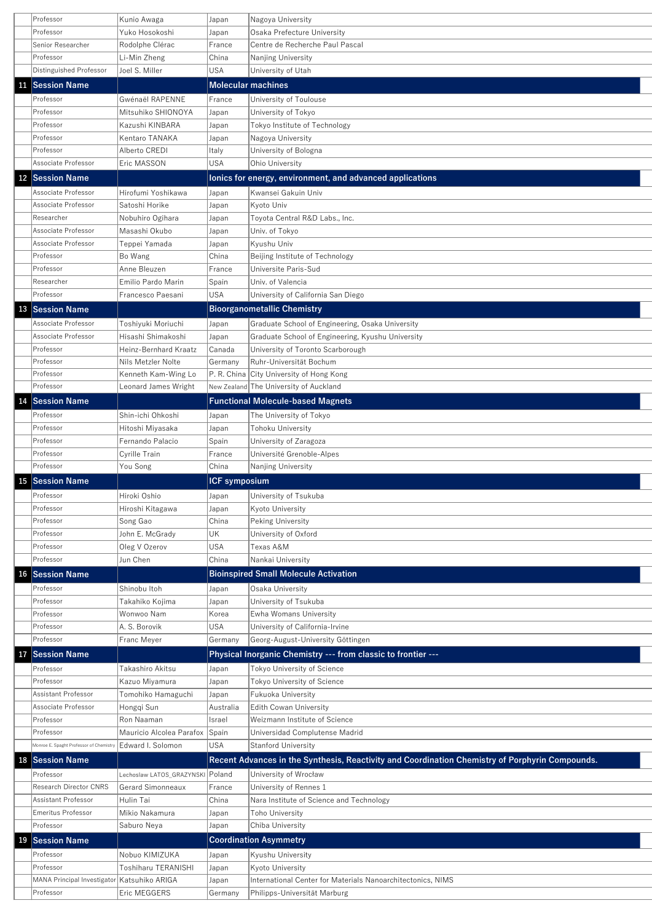|           | Professor               | Kunio Awaga           | Japan                | Nagoya University                                         |
|-----------|-------------------------|-----------------------|----------------------|-----------------------------------------------------------|
|           | Professor               | Yuko Hosokoshi        | Japan                | Osaka Prefecture University                               |
|           | Senior Researcher       | Rodolphe Clérac       | France               | Centre de Recherche Paul Pascal                           |
|           | Professor               | Li-Min Zheng          | China                | Nanjing University                                        |
|           | Distinguished Professor | Joel S. Miller        | USA                  | University of Utah                                        |
| 11        | <b>Session Name</b>     |                       |                      | <b>Molecular machines</b>                                 |
|           | Professor               | Gwénaël RAPENNE       | France               | University of Toulouse                                    |
|           | Professor               | Mitsuhiko SHIONOYA    | Japan                | University of Tokyo                                       |
|           | Professor               | Kazushi KINBARA       | Japan                | Tokyo Institute of Technology                             |
|           | Professor               | Kentaro TANAKA        | Japan                | Nagoya University                                         |
|           | Professor               | Alberto CREDI         | Italy                | University of Bologna                                     |
|           | Associate Professor     | Eric MASSON           | <b>USA</b>           | Ohio University                                           |
|           | 12 Session Name         |                       |                      | lonics for energy, environment, and advanced applications |
|           | Associate Professor     | Hirofumi Yoshikawa    | Japan                | Kwansei Gakuin Univ                                       |
|           | Associate Professor     | Satoshi Horike        | Japan                | Kyoto Univ                                                |
|           | Researcher              | Nobuhiro Ogihara      | Japan                | Toyota Central R&D Labs., Inc.                            |
|           | Associate Professor     | Masashi Okubo         | Japan                | Univ. of Tokyo                                            |
|           | Associate Professor     | Teppei Yamada         | Japan                | Kyushu Univ                                               |
|           | Professor               | Bo Wang               | China                | Beijing Institute of Technology                           |
|           | Professor               | Anne Bleuzen          | France               | Universite Paris-Sud                                      |
|           | Researcher              | Emilio Pardo Marin    | Spain                | Univ. of Valencia                                         |
|           | Professor               | Francesco Paesani     | <b>USA</b>           | University of California San Diego                        |
|           |                         |                       |                      |                                                           |
|           | 13 Session Name         |                       |                      | <b>Bioorganometallic Chemistry</b>                        |
|           | Associate Professor     | Toshiyuki Moriuchi    | Japan                | Graduate School of Engineering, Osaka University          |
|           | Associate Professor     | Hisashi Shimakoshi    | Japan                | Graduate School of Engineering, Kyushu University         |
|           | Professor               | Heinz-Bernhard Kraatz | Canada               | University of Toronto Scarborough                         |
|           | Professor               | Nils Metzler Nolte    | Germany              | Ruhr-Universität Bochum                                   |
|           | Professor               | Kenneth Kam-Wing Lo   |                      | P. R. China City University of Hong Kong                  |
|           | Professor               | Leonard James Wright  |                      | $ $ New Zealand $ {\sf The\ University\ of\ Australian}$  |
| 14        | <b>Session Name</b>     |                       |                      | <b>Functional Molecule-based Magnets</b>                  |
|           | Professor               | Shin-ichi Ohkoshi     | Japan                | The University of Tokyo                                   |
|           | Professor               | Hitoshi Miyasaka      | Japan                | Tohoku University                                         |
|           | Professor               | Fernando Palacio      | Spain                | University of Zaragoza                                    |
|           | Professor               | Cyrille Train         | France               | Université Grenoble-Alpes                                 |
|           | Professor               | You Song              | China                | Nanjing University                                        |
| <b>15</b> | <b>Session Name</b>     |                       | <b>ICF</b> symposium |                                                           |
|           | Professor               | Hiroki Oshio          | Japan                | University of Tsukuba                                     |
|           | Professor               | Hiroshi Kitagawa      | Japan                | <b>Kyoto University</b>                                   |
|           | Professor               | Song Gao              | China                | Peking University                                         |
|           | Professor               | John E. McGrady       | UK                   | University of Oxford                                      |
|           | Professor               | Oleg V Ozerov         | <b>USA</b>           | Texas A&M                                                 |
|           | Professor               | Jun Chen              | China                | Nankai University                                         |
| 16        | <b>Session Name</b>     |                       |                      | <b>Bioinspired Small Molecule Activation</b>              |
|           | Professor               | Shinobu Itoh          | Japan                | Osaka University                                          |

|    | Professor                                   | Takahiko Kojima                  | Japan      | University of Tsukuba                                                                           |
|----|---------------------------------------------|----------------------------------|------------|-------------------------------------------------------------------------------------------------|
|    | Professor                                   | Wonwoo Nam                       | Korea      | Ewha Womans University                                                                          |
|    | Professor                                   | A. S. Borovik                    | <b>USA</b> | University of California-Irvine                                                                 |
|    | Professor                                   | Franc Meyer                      | Germany    | Georg-August-University Göttingen                                                               |
| 17 | <b>Session Name</b>                         |                                  |            | Physical Inorganic Chemistry --- from classic to frontier ---                                   |
|    | Professor                                   | Takashiro Akitsu                 | Japan      | Tokyo University of Science                                                                     |
|    | Professor                                   | Kazuo Miyamura                   | Japan      | Tokyo University of Science                                                                     |
|    | Assistant Professor                         | Tomohiko Hamaguchi               | Japan      | <b>Fukuoka University</b>                                                                       |
|    | Associate Professor                         | Hongqi Sun                       | Australia  | Edith Cowan University                                                                          |
|    | Professor                                   | Ron Naaman                       | Israel     | Weizmann Institute of Science                                                                   |
|    | Professor                                   | Mauricio Alcolea Parafox         | Spain      | Universidad Complutense Madrid                                                                  |
|    | Monroe E. Spaght Professor of Chemistry     | Edward I. Solomon                | <b>USA</b> | <b>Stanford University</b>                                                                      |
|    |                                             |                                  |            |                                                                                                 |
| 18 | <b>Session Name</b>                         |                                  |            | Recent Advances in the Synthesis, Reactivity and Coordination Chemistry of Porphyrin Compounds. |
|    | Professor                                   | Lechoslaw LATOS_GRAZYNSKI Poland |            | University of Wrocław                                                                           |
|    | <b>Research Director CNRS</b>               | <b>Gerard Simonneaux</b>         | France     | University of Rennes 1                                                                          |
|    | Assistant Professor                         | Hulin Tai                        | China      | Nara Institute of Science and Technology                                                        |
|    | Emeritus Professor                          | Mikio Nakamura                   | Japan      | Toho University                                                                                 |
|    | Professor                                   | Saburo Neya                      | Japan      | Chiba University                                                                                |
| 19 | <b>Session Name</b>                         |                                  |            | <b>Coordination Asymmetry</b>                                                                   |
|    | Professor                                   | Nobuo KIMIZUKA                   | Japan      | Kyushu University                                                                               |
|    | Professor                                   | Toshiharu TERANISHI              | Japan      | Kyoto University                                                                                |
|    | MANA Principal Investigator Katsuhiko ARIGA |                                  | Japan      | International Center for Materials Nanoarchitectonics, NIMS                                     |
|    | Professor                                   | Eric MEGGERS                     | Germany    | Philipps-Universität Marburg                                                                    |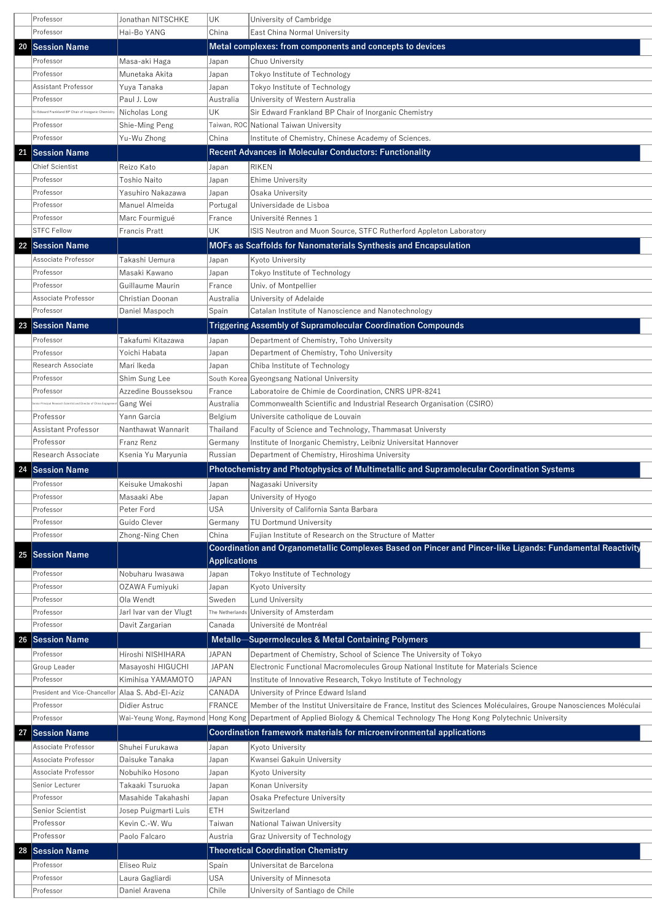|    | Professor                                                        | Jonathan NITSCHKE                               | UK                  | University of Cambridge                                                                                   |
|----|------------------------------------------------------------------|-------------------------------------------------|---------------------|-----------------------------------------------------------------------------------------------------------|
|    | Professor                                                        | Hai-Bo YANG                                     | China               | <b>East China Normal University</b>                                                                       |
|    | 20 Session Name                                                  |                                                 |                     | Metal complexes: from components and concepts to devices                                                  |
|    | Professor                                                        | Masa-aki Haga                                   | Japan               | Chuo University                                                                                           |
|    | Professor                                                        | Munetaka Akita                                  | Japan               | Tokyo Institute of Technology                                                                             |
|    | Assistant Professor                                              | Yuya Tanaka                                     | Japan               | Tokyo Institute of Technology                                                                             |
|    | Professor                                                        | Paul J. Low                                     | Australia           | University of Western Australia                                                                           |
|    | Sir Edward Frankland BP Chair of Inorganic Chemistry             | Nicholas Long                                   | UK                  | Sir Edward Frankland BP Chair of Inorganic Chemistry                                                      |
|    | Professor                                                        | Shie-Ming Peng                                  |                     | Taiwan, ROC National Taiwan University                                                                    |
|    | Professor                                                        | Yu-Wu Zhong                                     | China               | Institute of Chemistry, Chinese Academy of Sciences.                                                      |
| 21 | <b>Session Name</b>                                              |                                                 |                     | <b>Recent Advances in Molecular Conductors: Functionality</b>                                             |
|    | Chief Scientist                                                  | Reizo Kato                                      | Japan               | RIKEN                                                                                                     |
|    | Professor                                                        | Toshio Naito                                    | Japan               | <b>Ehime University</b>                                                                                   |
|    | Professor                                                        | Yasuhiro Nakazawa                               | Japan               | Osaka University                                                                                          |
|    | Professor                                                        | Manuel Almeida                                  | Portugal            | Universidade de Lisboa                                                                                    |
|    | Professor                                                        | Marc Fourmigué                                  | France              | Université Rennes 1                                                                                       |
|    | <b>STFC Fellow</b>                                               | Francis Pratt                                   | UK                  | ISIS Neutron and Muon Source, STFC Rutherford Appleton Laboratory                                         |
| 22 | <b>Session Name</b>                                              |                                                 |                     | <b>MOFs as Scaffolds for Nanomaterials Synthesis and Encapsulation</b>                                    |
|    | Associate Professor                                              | Takashi Uemura                                  | Japan               | Kyoto University                                                                                          |
|    | Professor                                                        | Masaki Kawano                                   | Japan               | Tokyo Institute of Technology                                                                             |
|    | Professor                                                        | Guillaume Maurin                                | France              | Univ. of Montpellier                                                                                      |
|    | Associate Professor                                              | Christian Doonan                                | Australia           | University of Adelaide                                                                                    |
|    | Professor                                                        | Daniel Maspoch                                  | Spain               | Catalan Institute of Nanoscience and Nanotechnology                                                       |
| 23 | <b>Session Name</b>                                              |                                                 |                     | <b>Triggering Assembly of Supramolecular Coordination Compounds</b>                                       |
|    | Professor                                                        | Takafumi Kitazawa                               | Japan               | Department of Chemistry, Toho University                                                                  |
|    | Professor                                                        | Yoichi Habata                                   | Japan               | Department of Chemistry, Toho University                                                                  |
|    | Research Associate                                               | Mari Ikeda                                      | Japan               | Chiba Institute of Technology                                                                             |
|    | Professor                                                        | Shim Sung Lee                                   |                     | South Korea Gyeongsang National University                                                                |
|    | Professor                                                        | Azzedine Bousseksou                             | France              | Laboratoire de Chimie de Coordination, CNRS UPR-8241                                                      |
|    | enior Principal Research Scientist and Director of China Engagen | Gang Wei                                        | Australia           | Commonwealth Scientific and Industrial Research Organisation (CSIRO)                                      |
|    | Professor                                                        | Yann Garcia                                     | Belgium             | Universite catholique de Louvain                                                                          |
|    | Assistant Professor                                              | Nanthawat Wannarit                              | Thailand            | Faculty of Science and Technology, Thammasat Universty                                                    |
|    | Professor                                                        | Franz Renz                                      | Germany             | Institute of Inorganic Chemistry, Leibniz Universitat Hannover                                            |
|    | Research Associate                                               | Ksenia Yu Maryunia                              | Russian             | Department of Chemistry, Hiroshima University                                                             |
| 24 | <b>Session Name</b>                                              |                                                 |                     | <b>Photochemistry and Photophysics of Multimetallic and Supramolecular Coordination Systems</b>           |
|    | Professor                                                        | Keisuke Umakoshi                                | Japan               | Nagasaki University                                                                                       |
|    | Professor                                                        | Masaaki Abe                                     | Japan               | University of Hyogo                                                                                       |
|    | Professor                                                        | Peter Ford                                      | USA                 | University of California Santa Barbara                                                                    |
|    | Professor                                                        | Guido Clever                                    | Germany             | TU Dortmund University                                                                                    |
|    | Professor                                                        | Zhong-Ning Chen                                 | China               | Fujian Institute of Research on the Structure of Matter                                                   |
|    | 25 Session Name                                                  |                                                 |                     | Coordination and Organometallic Complexes Based on Pincer and Pincer-like Ligands: Fundamental Reactivity |
|    |                                                                  |                                                 | <b>Applications</b> |                                                                                                           |
|    | Professor                                                        | Nobuharu Iwasawa                                | Japan               | Tokyo Institute of Technology                                                                             |
|    | Professor<br>$D_{\nu}$                                           | OZAWA Fumiyuki<br>$\bigcap_{\alpha} M_{\alpha}$ | Japan<br>$C_{i,j}$  | Kyoto University<br>$l$ und University                                                                    |
|    |                                                                  |                                                 |                     |                                                                                                           |

|    | Professor                                           | Ola Wendt               | Sweden        | Lund University                                                                                                            |
|----|-----------------------------------------------------|-------------------------|---------------|----------------------------------------------------------------------------------------------------------------------------|
|    | Professor                                           | Jarl Ivar van der Vlugt |               | The Netherlands University of Amsterdam                                                                                    |
|    | Professor                                           | Davit Zargarian         | Canada        | Université de Montréal                                                                                                     |
| 26 | <b>Session Name</b>                                 |                         |               | <b>Metallo-Supermolecules &amp; Metal Containing Polymers</b>                                                              |
|    | Professor                                           | Hiroshi NISHIHARA       | JAPAN         | Department of Chemistry, School of Science The University of Tokyo                                                         |
|    | Group Leader                                        | Masayoshi HIGUCHI       | <b>JAPAN</b>  | Electronic Functional Macromolecules Group National Institute for Materials Science                                        |
|    | Professor                                           | Kimihisa YAMAMOTO       | <b>JAPAN</b>  | Institute of Innovative Research, Tokyo Institute of Technology                                                            |
|    | President and Vice-Chancellor   Alaa S. Abd-EI-Aziz |                         | CANADA        | University of Prince Edward Island                                                                                         |
|    | Professor                                           | Didier Astruc           | <b>FRANCE</b> | Member of the Institut Universitaire de France, Institut des Sciences Moléculaires, Groupe Nanosciences Moléculai          |
|    | Professor                                           |                         |               | Wai-Yeung Wong, Raymond Hong Kong Department of Applied Biology & Chemical Technology The Hong Kong Polytechnic University |
| 27 | <b>Session Name</b>                                 |                         |               | Coordination framework materials for microenvironmental applications                                                       |
|    | Associate Professor                                 | Shuhei Furukawa         | Japan         | Kyoto University                                                                                                           |
|    | Associate Professor                                 | Daisuke Tanaka          | Japan         | Kwansei Gakuin University                                                                                                  |
|    | Associate Professor                                 | Nobuhiko Hosono         | Japan         | Kyoto University                                                                                                           |
|    | Senior Lecturer                                     | Takaaki Tsuruoka        | Japan         | Konan University                                                                                                           |
|    | Professor                                           | Masahide Takahashi      | Japan         | Osaka Prefecture University                                                                                                |
|    | Senior Scientist                                    | Josep Puigmarti Luis    | <b>ETH</b>    | Switzerland                                                                                                                |
|    | Professor                                           | Kevin C.-W. Wu          | Taiwan        | National Taiwan University                                                                                                 |
|    | Professor                                           | Paolo Falcaro           | Austria       | <b>Graz University of Technology</b>                                                                                       |
|    | 28 Session Name                                     |                         |               | <b>Theoretical Coordination Chemistry</b>                                                                                  |
|    | Professor                                           | Eliseo Ruiz             | Spain         | Universitat de Barcelona                                                                                                   |
|    | Professor                                           | Laura Gagliardi         | <b>USA</b>    | University of Minnesota                                                                                                    |
|    | Professor                                           | Daniel Aravena          | Chile         | University of Santiago de Chile                                                                                            |
|    |                                                     |                         |               |                                                                                                                            |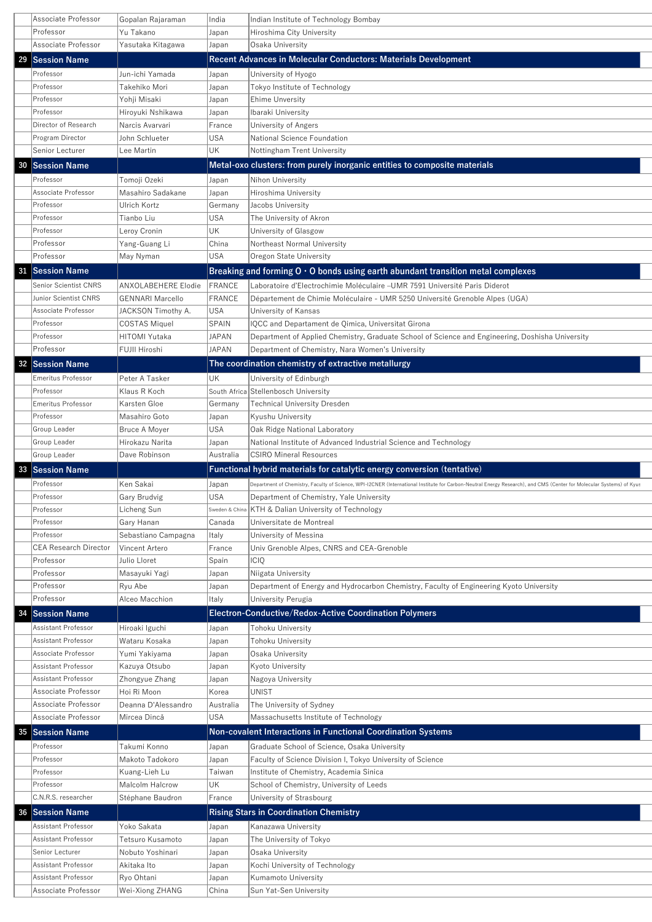|    | Associate Professor          | Gopalan Rajaraman          | India          | Indian Institute of Technology Bombay                                                                                                                                |
|----|------------------------------|----------------------------|----------------|----------------------------------------------------------------------------------------------------------------------------------------------------------------------|
|    | Professor                    | Yu Takano                  | Japan          | Hiroshima City University                                                                                                                                            |
|    | Associate Professor          | Yasutaka Kitagawa          | Japan          | Osaka University                                                                                                                                                     |
| 29 | <b>Session Name</b>          |                            |                | <b>Recent Advances in Molecular Conductors: Materials Development</b>                                                                                                |
|    | Professor                    | Jun-ichi Yamada            | Japan          | University of Hyogo                                                                                                                                                  |
|    | Professor                    | Takehiko Mori              | Japan          | Tokyo Institute of Technology                                                                                                                                        |
|    | Professor                    | Yohji Misaki               | Japan          | <b>Ehime Unversity</b>                                                                                                                                               |
|    | Professor                    | Hiroyuki Nshikawa          | Japan          | Ibaraki University                                                                                                                                                   |
|    | Director of Research         | Narcis Avarvari            | France         | University of Angers                                                                                                                                                 |
|    | Program Director             | John Schlueter             | <b>USA</b>     | National Science Foundation                                                                                                                                          |
|    | Senior Lecturer              | Lee Martin                 | UK             | Nottingham Trent University                                                                                                                                          |
| 30 | <b>Session Name</b>          |                            |                | Metal-oxo clusters: from purely inorganic entities to composite materials                                                                                            |
|    | Professor                    | Tomoji Ozeki               | Japan          | Nihon University                                                                                                                                                     |
|    | Associate Professor          | Masahiro Sadakane          | Japan          | Hiroshima University                                                                                                                                                 |
|    | Professor                    | Ulrich Kortz               | Germany        | Jacobs University                                                                                                                                                    |
|    | Professor                    | Tianbo Liu                 | <b>USA</b>     | The University of Akron                                                                                                                                              |
|    | Professor                    | Leroy Cronin               | UK             | University of Glasgow                                                                                                                                                |
|    | Professor                    | Yang-Guang Li              | China          | Northeast Normal University                                                                                                                                          |
|    | Professor                    | May Nyman                  | <b>USA</b>     | Oregon State University                                                                                                                                              |
| 31 | <b>Session Name</b>          |                            |                | Breaking and forming $0.0$ bonds using earth abundant transition metal complexes                                                                                     |
|    | <b>Senior Scientist CNRS</b> | <b>ANXOLABEHERE Elodie</b> | <b>FRANCE</b>  | Laboratoire d'Electrochimie Moléculaire –UMR 7591 Université Paris Diderot                                                                                           |
|    | Junior Scientist CNRS        | <b>GENNARI Marcello</b>    | <b>FRANCE</b>  | Département de Chimie Moléculaire - UMR 5250 Université Grenoble Alpes (UGA)                                                                                         |
|    | Associate Professor          | JACKSON Timothy A.         | USA            | University of Kansas                                                                                                                                                 |
|    | Professor                    | <b>COSTAS Miquel</b>       | SPAIN          | IQCC and Departament de Qimica, Universitat Girona                                                                                                                   |
|    | Professor                    | <b>HITOMI Yutaka</b>       | <b>JAPAN</b>   | Department of Applied Chemistry, Graduate School of Science and Engineering, Doshisha University                                                                     |
|    | Professor                    | FUJII Hiroshi              | JAPAN          | Department of Chemistry, Nara Women's University                                                                                                                     |
|    | 32 Session Name              |                            |                | The coordination chemistry of extractive metallurgy                                                                                                                  |
|    | <b>Emeritus Professor</b>    | Peter A Tasker             | UK             | University of Edinburgh                                                                                                                                              |
|    | Professor                    | Klaus R Koch               |                | South Africa Stellenbosch University                                                                                                                                 |
|    | <b>Emeritus Professor</b>    | Karsten Gloe               | Germany        | <b>Technical University Dresden</b>                                                                                                                                  |
|    | Professor                    | Masahiro Goto              | Japan          | Kyushu University                                                                                                                                                    |
|    | Group Leader                 | Bruce A Moyer              | USA            | Oak Ridge National Laboratory                                                                                                                                        |
|    | Group Leader                 | Hirokazu Narita            | Japan          | National Institute of Advanced Industrial Science and Technology                                                                                                     |
|    | Group Leader                 | Dave Robinson              | Australia      | <b>CSIRO Mineral Resources</b>                                                                                                                                       |
| 33 | <b>Session Name</b>          |                            |                | Functional hybrid materials for catalytic energy conversion (tentative)                                                                                              |
|    | Professor                    | Ken Sakai                  | Japan          | Department of Chemistry, Faculty of Science, WPI-I2CNER (International Institute for Carbon-Neutral Energy Research), and CMS (Center for Molecular Systems) of Kyus |
|    | Professor                    | Gary Brudvig               | <b>USA</b>     | Department of Chemistry, Yale University                                                                                                                             |
|    | Professor                    | Licheng Sun                | Sweden & China | <b>KTH &amp; Dalian University of Technology</b>                                                                                                                     |
|    | Professor                    | Gary Hanan                 | Canada         | Universitate de Montreal                                                                                                                                             |
|    | Professor                    | Sebastiano Campagna        | Italy          | University of Messina                                                                                                                                                |
|    | <b>CEA Research Director</b> | Vincent Artero             | France         | Univ Grenoble Alpes, CNRS and CEA-Grenoble                                                                                                                           |
|    | Professor                    | Julio Lloret               | Spain          | <b>ICIQ</b>                                                                                                                                                          |
|    | Professor                    | Masayuki Yagi              | Japan          | Niigata University                                                                                                                                                   |
|    | Professor                    | Ryu Abe                    | Japan          | Department of Energy and Hydrocarbon Chemistry, Faculty of Engineering Kyoto University                                                                              |
|    | Professor                    | Alceo Macchion             | Italy          | University Perugia                                                                                                                                                   |

|    | , , , , , , , , , , | <b>NULLOUINIQUE</b> | itaiy      | UTITVUJJILY I UTURIU                                                |
|----|---------------------|---------------------|------------|---------------------------------------------------------------------|
| 34 | <b>Session Name</b> |                     |            | <b>Electron-Conductive/Redox-Active Coordination Polymers</b>       |
|    | Assistant Professor | Hiroaki Iguchi      | Japan      | Tohoku University                                                   |
|    | Assistant Professor | Wataru Kosaka       | Japan      | Tohoku University                                                   |
|    | Associate Professor | Yumi Yakiyama       | Japan      | Osaka University                                                    |
|    | Assistant Professor | Kazuya Otsubo       | Japan      | <b>Kyoto University</b>                                             |
|    | Assistant Professor | Zhongyue Zhang      | Japan      | Nagoya University                                                   |
|    | Associate Professor | Hoi Ri Moon         | Korea      | <b>UNIST</b>                                                        |
|    | Associate Professor | Deanna D'Alessandro | Australia  | The University of Sydney                                            |
|    | Associate Professor | Mircea Dincă        | <b>USA</b> | Massachusetts Institute of Technology                               |
| 35 | <b>Session Name</b> |                     |            | <b>Non-covalent Interactions in Functional Coordination Systems</b> |
|    | Professor           | Takumi Konno        | Japan      | Graduate School of Science, Osaka University                        |
|    | Professor           | Makoto Tadokoro     | Japan      | Faculty of Science Division I, Tokyo University of Science          |
|    | Professor           | Kuang-Lieh Lu       | Taiwan     | Institute of Chemistry, Academia Sinica                             |
|    | Professor           | Malcolm Halcrow     | <b>UK</b>  | School of Chemistry, University of Leeds                            |
|    | C.N.R.S. researcher | Stéphane Baudron    | France     | University of Strasbourg                                            |
| 36 | <b>Session Name</b> |                     |            | <b>Rising Stars in Coordination Chemistry</b>                       |
|    | Assistant Professor | Yoko Sakata         | Japan      | Kanazawa University                                                 |
|    | Assistant Professor | Tetsuro Kusamoto    | Japan      | The University of Tokyo                                             |
|    | Senior Lecturer     | Nobuto Yoshinari    | Japan      | Osaka University                                                    |
|    | Assistant Professor | Akitaka Ito         | Japan      | Kochi University of Technology                                      |
|    | Assistant Professor | Ryo Ohtani          | Japan      | <b>Kumamoto University</b>                                          |
|    | Associate Professor | Wei-Xiong ZHANG     | China      | Sun Yat-Sen University                                              |
|    |                     |                     |            |                                                                     |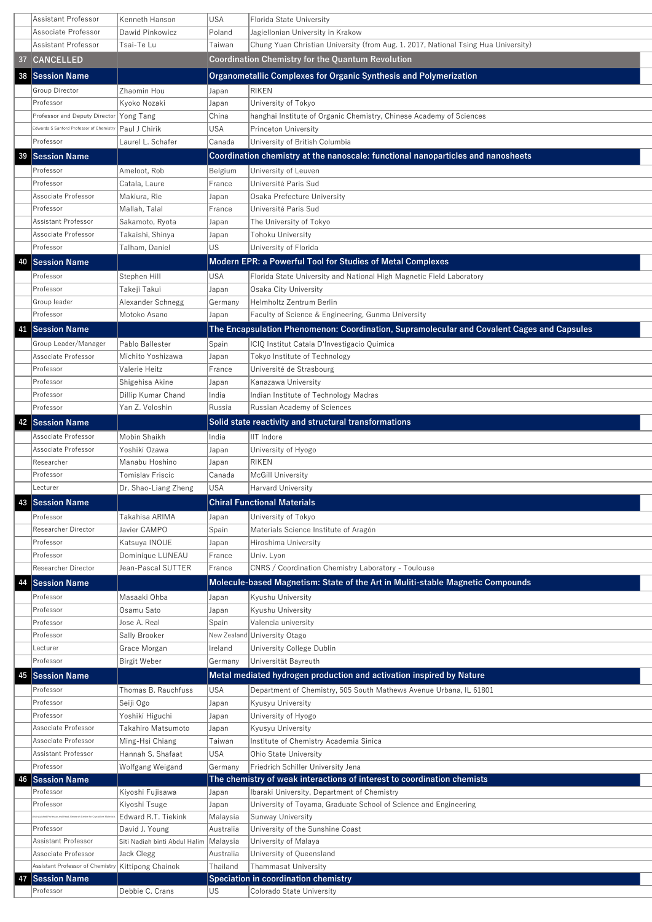|    | <b>Assistant Professor</b>               | Kenneth Hanson       | <b>USA</b> | Florida State University                                                                   |
|----|------------------------------------------|----------------------|------------|--------------------------------------------------------------------------------------------|
|    | Associate Professor                      | Dawid Pinkowicz      | Poland     | Jagiellonian University in Krakow                                                          |
|    | Assistant Professor                      | Tsai-Te Lu           | Taiwan     | Chung Yuan Christian University (from Aug. 1. 2017, National Tsing Hua University)         |
| 37 | <b>CANCELLED</b>                         |                      |            | <b>Coordination Chemistry for the Quantum Revolution</b>                                   |
|    | 38 Session Name                          |                      |            | Organometallic Complexes for Organic Synthesis and Polymerization                          |
|    | Group Director                           | Zhaomin Hou          | Japan      | <b>RIKEN</b>                                                                               |
|    | Professor                                | Kyoko Nozaki         | Japan      | University of Tokyo                                                                        |
|    | Professor and Deputy Director Yong Tang  |                      | China      | hanghai Institute of Organic Chemistry, Chinese Academy of Sciences                        |
|    | Edwards S Sanford Professor of Chemistry | Paul J Chirik        | <b>USA</b> | <b>Princeton University</b>                                                                |
|    | Professor                                | Laurel L. Schafer    | Canada     | University of British Columbia                                                             |
| 39 | <b>Session Name</b>                      |                      |            | Coordination chemistry at the nanoscale: functional nanoparticles and nanosheets           |
|    | Professor                                | Ameloot, Rob         | Belgium    | University of Leuven                                                                       |
|    | Professor                                | Catala, Laure        | France     | Université Paris Sud                                                                       |
|    | Associate Professor                      | Makiura, Rie         | Japan      | Osaka Prefecture University                                                                |
|    | Professor                                | Mallah, Talal        | France     | Université Paris Sud                                                                       |
|    | Assistant Professor                      | Sakamoto, Ryota      | Japan      | The University of Tokyo                                                                    |
|    | Associate Professor                      | Takaishi, Shinya     | Japan      | Tohoku University                                                                          |
|    | Professor                                | Talham, Daniel       | <b>US</b>  | University of Florida                                                                      |
| 40 | <b>Session Name</b>                      |                      |            | <b>Modern EPR: a Powerful Tool for Studies of Metal Complexes</b>                          |
|    | Professor                                | Stephen Hill         | <b>USA</b> | Florida State University and National High Magnetic Field Laboratory                       |
|    | Professor                                | Takeji Takui         | Japan      | <b>Osaka City University</b>                                                               |
|    | Group leader                             | Alexander Schnegg    | Germany    | Helmholtz Zentrum Berlin                                                                   |
|    | Professor                                | Motoko Asano         | Japan      | <b>Faculty of Science &amp; Engineering, Gunma University</b>                              |
| 41 | <b>Session Name</b>                      |                      |            | The Encapsulation Phenomenon: Coordination, Supramolecular and Covalent Cages and Capsules |
|    | Group Leader/Manager                     | Pablo Ballester      | Spain      | ICIQ Institut Catala D'Investigacio Quimica                                                |
|    | Associate Professor                      | Michito Yoshizawa    | Japan      | Tokyo Institute of Technology                                                              |
|    | Professor                                | Valerie Heitz        | France     | Université de Strasbourg                                                                   |
|    | Professor                                | Shigehisa Akine      | Japan      | Kanazawa University                                                                        |
|    | Professor                                | Dillip Kumar Chand   | India      | Indian Institute of Technology Madras                                                      |
|    | Professor                                | Yan Z. Voloshin      | Russia     | Russian Academy of Sciences                                                                |
| 42 | <b>Session Name</b>                      |                      |            | Solid state reactivity and structural transformations                                      |
|    | Associate Professor                      | Mobin Shaikh         | India      | IIT Indore                                                                                 |
|    | Associate Professor                      | Yoshiki Ozawa        | Japan      | University of Hyogo                                                                        |
|    | Researcher                               | Manabu Hoshino       | Japan      | <b>RIKEN</b>                                                                               |
|    | Professor                                | Tomislav Friscic     | Canada     | McGill University                                                                          |
|    | Lecturer                                 | Dr. Shao-Liang Zheng | <b>USA</b> | <b>Harvard University</b>                                                                  |
| 43 | <b>Session Name</b>                      |                      |            | <b>Chiral Functional Materials</b>                                                         |
|    | Professor                                | Takahisa ARIMA       | Japan      | University of Tokyo                                                                        |
|    | <b>Researcher Director</b>               | Javier CAMPO         | Spain      | Materials Science Institute of Aragón                                                      |
|    | Professor                                | Katsuya INOUE        | Japan      | Hiroshima University                                                                       |
|    | Professor                                | Dominique LUNEAU     | France     | Univ. Lyon                                                                                 |
|    | <b>Researcher Director</b>               | Jean-Pascal SUTTER   | France     | <b>CNRS / Coordination Chemistry Laboratory - Toulouse</b>                                 |
| 44 | <b>Session Name</b>                      |                      |            | Molecule-based Magnetism: State of the Art in Muliti-stable Magnetic Compounds             |
|    | Professor                                | Masaaki Ohba         | Japan      | Kyushu University                                                                          |

|    | Professor                                                                | Osamu Sato                               | Japan      | Kyushu University                                                       |
|----|--------------------------------------------------------------------------|------------------------------------------|------------|-------------------------------------------------------------------------|
|    | Professor                                                                | Jose A. Real                             | Spain      | Valencia university                                                     |
|    | Professor                                                                | Sally Brooker                            |            | New Zealand University Otago                                            |
|    | Lecturer                                                                 | Grace Morgan                             | Ireland    | University College Dublin                                               |
|    | Professor                                                                | <b>Birgit Weber</b>                      | Germany    | Universität Bayreuth                                                    |
|    | 45 Session Name                                                          |                                          |            | Metal mediated hydrogen production and activation inspired by Nature    |
|    | Professor                                                                | Thomas B. Rauchfuss                      | <b>USA</b> | Department of Chemistry, 505 South Mathews Avenue Urbana, IL 61801      |
|    | Professor                                                                | Seiji Ogo                                | Japan      | Kyusyu University                                                       |
|    | Professor                                                                | Yoshiki Higuchi                          | Japan      | University of Hyogo                                                     |
|    | Associate Professor                                                      | Takahiro Matsumoto                       | Japan      | Kyusyu University                                                       |
|    | Associate Professor                                                      | Ming-Hsi Chiang                          | Taiwan     | Institute of Chemistry Academia Sinica                                  |
|    | Assistant Professor                                                      | Hannah S. Shafaat                        | <b>USA</b> | <b>Ohio State University</b>                                            |
|    | Professor                                                                | Wolfgang Weigand                         | Germany    | Friedrich Schiller University Jena                                      |
| 46 | <b>Session Name</b>                                                      |                                          |            | The chemistry of weak interactions of interest to coordination chemists |
|    | Professor                                                                | Kiyoshi Fujisawa                         | Japan      | Ibaraki University, Department of Chemistry                             |
|    | Professor                                                                | Kiyoshi Tsuge                            | Japan      | University of Toyama, Graduate School of Science and Engineering        |
|    | tinguished Professor and Head, Research Centre for Crystalline Material: | Edward R.T. Tiekink                      | Malaysia   | Sunway University                                                       |
|    | Professor                                                                | David J. Young                           | Australia  | University of the Sunshine Coast                                        |
|    | Assistant Professor                                                      | Siti Nadiah binti Abdul Halim   Malaysia |            | University of Malaya                                                    |
|    | Associate Professor                                                      | Jack Clegg                               | Australia  | University of Queensland                                                |
|    | Assistant Professor of Chemistry   Kittipong Chainok                     |                                          | Thailand   | <b>Thammasat University</b>                                             |
| 47 | <b>Session Name</b>                                                      |                                          |            | <b>Speciation in coordination chemistry</b>                             |
|    | Professor                                                                | Debbie C. Crans                          | US         | Colorado State University                                               |